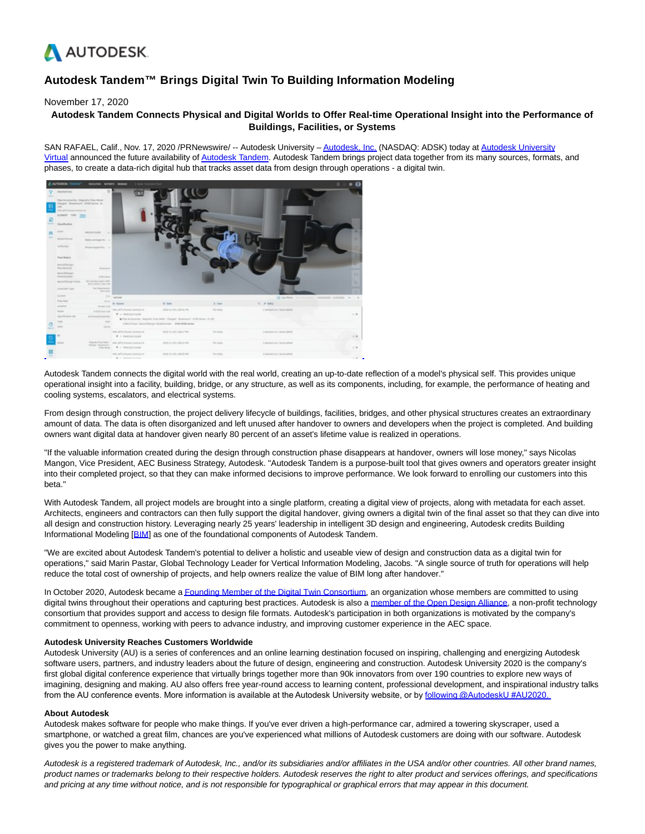

# **Autodesk Tandem™ Brings Digital Twin To Building Information Modeling**

## November 17, 2020

# **Autodesk Tandem Connects Physical and Digital Worlds to Offer Real-time Operational Insight into the Performance of Buildings, Facilities, or Systems**

SAN RAFAEL, Calif., Nov. 17, 2020 /PRNewswire/ -- Autodesk University - [Autodesk, Inc. \(](https://c212.net/c/link/?t=0&l=en&o=2981999-1&h=3548400530&u=http%3A%2F%2Fwww.autodesk.com%2F&a=Autodesk%2C+Inc.)NASDAQ: ADSK) today at [Autodesk University](https://c212.net/c/link/?t=0&l=en&o=2981999-1&h=3062140091&u=https%3A%2F%2Fwww.autodesk.com%2Fautodesk-university%2F&a=Autodesk+University+Virtual) Virtual announced the future availability o[f Autodesk Tandem.](https://c212.net/c/link/?t=0&l=en&o=2981999-1&h=1382291287&u=https%3A%2F%2Ffeedback.autodesk.com%2Fkey%2Ftandem-apply&a=Autodesk+Tandem) Autodesk Tandem brings project data together from its many sources, formats, and phases, to create a data-rich digital hub that tracks asset data from design through operations - a digital twin.



Autodesk Tandem connects the digital world with the real world, creating an up-to-date reflection of a model's physical self. This provides unique operational insight into a facility, building, bridge, or any structure, as well as its components, including, for example, the performance of heating and cooling systems, escalators, and electrical systems.

From design through construction, the project delivery lifecycle of buildings, facilities, bridges, and other physical structures creates an extraordinary amount of data. The data is often disorganized and left unused after handover to owners and developers when the project is completed. And building owners want digital data at handover given nearly 80 percent of an asset's lifetime value is realized in operations.

"If the valuable information created during the design through construction phase disappears at handover, owners will lose money," says Nicolas Mangon, Vice President, AEC Business Strategy, Autodesk. "Autodesk Tandem is a purpose-built tool that gives owners and operators greater insight into their completed project, so that they can make informed decisions to improve performance. We look forward to enrolling our customers into this beta."

With Autodesk Tandem, all project models are brought into a single platform, creating a digital view of projects, along with metadata for each asset. Architects, engineers and contractors can then fully support the digital handover, giving owners a digital twin of the final asset so that they can dive into all design and construction history. Leveraging nearly 25 years' leadership in intelligent 3D design and engineering, Autodesk credits Building Informational Modeling [\[BIM\]](https://c212.net/c/link/?t=0&l=en&o=2981999-1&h=317325966&u=https%3A%2F%2Fwww.autodesk.com%2Fsolutions%2Fbim&a=BIM) as one of the foundational components of Autodesk Tandem.

"We are excited about Autodesk Tandem's potential to deliver a holistic and useable view of design and construction data as a digital twin for operations," said Marin Pastar, Global Technology Leader for Vertical Information Modeling, Jacobs. "A single source of truth for operations will help reduce the total cost of ownership of projects, and help owners realize the value of BIM long after handover."

In October 2020, Autodesk became [a Founding Member of the Digital Twin Consortium,](https://c212.net/c/link/?t=0&l=en&o=2981999-1&h=1097023157&u=https%3A%2F%2Fwww.prweb.com%2Freleases%2Fdigital_twin_consortium_membership_approaches_150_companies%2Fprweb17441739.htm&a=Founding+Member+of+the+Digital+Twin+Consortium) an organization whose members are committed to using digital twins throughout their operations and capturing best practices. Autodesk is also [a member of the Open Design Alliance,](https://c212.net/c/link/?t=0&l=en&o=2981999-1&h=953055877&u=https%3A%2F%2Fadsknews.autodesk.com%2Fnews%2Fopen-design-alliance-membership&a=member+of+the+Open+Design+Alliance) a non-profit technology consortium that provides support and access to design file formats. Autodesk's participation in both organizations is motivated by the company's commitment to openness, working with peers to advance industry, and improving customer experience in the AEC space.

### **Autodesk University Reaches Customers Worldwide**

Autodesk University (AU) is a series of conferences and an online learning destination focused on inspiring, challenging and energizing Autodesk software users, partners, and industry leaders about the future of design, engineering and construction. Autodesk University 2020 is the company's first global digital conference experience that virtually brings together more than 90k innovators from over 190 countries to explore new ways of imagining, designing and making. AU also offers free year-round access to learning content, professional development, and inspirational industry talks from the AU conference events. More information is available at the Autodesk University website, or by following @AutodeskU #AU2020.

#### **About Autodesk**

Autodesk makes software for people who make things. If you've ever driven a high-performance car, admired a towering skyscraper, used a smartphone, or watched a great film, chances are you've experienced what millions of Autodesk customers are doing with our software. Autodesk gives you the power to make anything.

Autodesk is a registered trademark of Autodesk, Inc., and/or its subsidiaries and/or affiliates in the USA and/or other countries. All other brand names, product names or trademarks belong to their respective holders. Autodesk reserves the right to alter product and services offerings, and specifications and pricing at any time without notice, and is not responsible for typographical or graphical errors that may appear in this document.